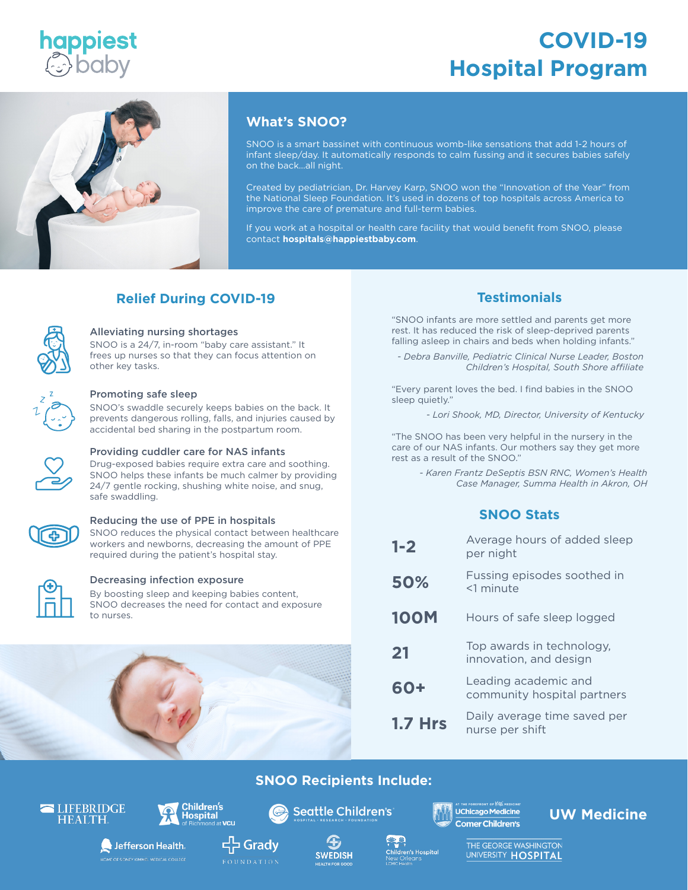

# **COVID-19 Hospital Program**



# **What's SNOO?**

SNOO is a smart bassinet with continuous womb-like sensations that add 1-2 hours of infant sleep/day. It automatically responds to calm fussing and it secures babies safely on the back…all night.

Created by pediatrician, Dr. Harvey Karp, SNOO won the "Innovation of the Year" from the National Sleep Foundation. It's used in dozens of top hospitals across America to improve the care of premature and full-term babies.

If you work at a hospital or health care facility that would benefit from SNOO, please contact **hospitals@happiestbaby.com**.

# **Relief During COVID-19 Testimonials**



#### Alleviating nursing shortages

SNOO is a 24/7, in-room "baby care assistant." It frees up nurses so that they can focus attention on other key tasks.



#### Promoting safe sleep

SNOO's swaddle securely keeps babies on the back. It prevents dangerous rolling, falls, and injuries caused by accidental bed sharing in the postpartum room.

#### Providing cuddler care for NAS infants

Drug-exposed babies require extra care and soothing. SNOO helps these infants be much calmer by providing 24/7 gentle rocking, shushing white noise, and snug, safe swaddling.



# Reducing the use of PPE in hospitals

SNOO reduces the physical contact between healthcare workers and newborns, decreasing the amount of PPE required during the patient's hospital stay.



#### Decreasing infection exposure

By boosting sleep and keeping babies content, SNOO decreases the need for contact and exposure to nurses.

"SNOO infants are more settled and parents get more rest. It has reduced the risk of sleep-deprived parents falling asleep in chairs and beds when holding infants."

*- Debra Banville, Pediatric Clinical Nurse Leader, Boston Children's Hospital, South Shore affiliate*

"Every parent loves the bed. I find babies in the SNOO sleep quietly."

*- Lori Shook, MD, Director, University of Kentucky*

"The SNOO has been very helpful in the nursery in the care of our NAS infants. Our mothers say they get more rest as a result of the SNOO."

> *- Karen Frantz DeSeptis BSN RNC, Women's Health Case Manager, Summa Health in Akron, OH*

# **SNOO Stats**

| $1 - 2$        | Average hours of added sleep<br>per night           |
|----------------|-----------------------------------------------------|
| 50%            | Fussing episodes soothed in<br><1 minute            |
| <b>100M</b>    | Hours of safe sleep logged                          |
| 21             | Top awards in technology,<br>innovation, and design |
| 60+            | Leading academic and<br>community hospital partners |
| <b>1.7 Hrs</b> | Daily average time saved per<br>nurse per shift     |



# **SNOO Recipients Include:**





Jefferson Health

THE OF SIDNEY KIMMEL MEDICAL COLLEGE



**Seattle Children's** 



 $\bullet$ 

Comer Children's

**UChicago Medicine** 

**UW Medicine**

**다** Grady



.<br>Children's Hospital

THE GEORGE WASHINGTON UNIVERSITY HOSPITAL